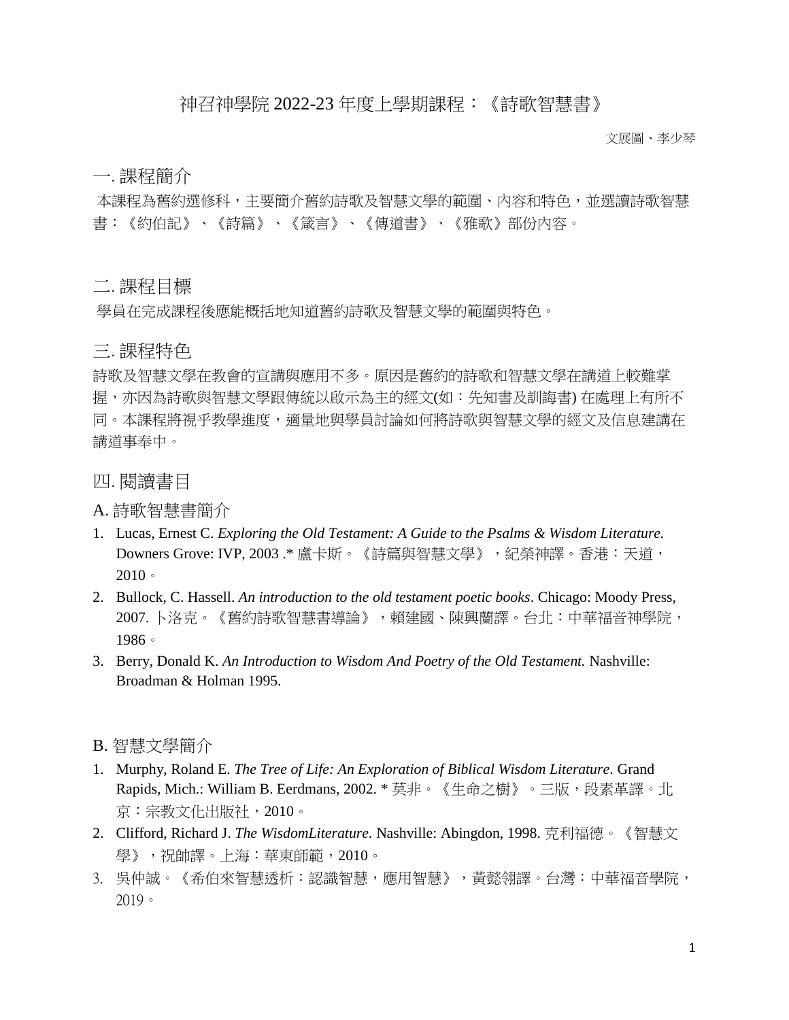## 神召神學院 2022-23 年度上學期課程:《詩歌智慧書》

文展圖、李少琴

一. 課程簡介

本課程為舊約選修科,主要簡介舊約詩歌及智慧文學的範圍、內容和特色,並選讀詩歌智慧 書:《約伯記》、《詩篇》、《箴言》、《傳道書》、《雅歌》部份內容。

二. 課程目標

學員在完成課程後應能概括地知道舊約詩歌及智慧文學的範圍與特色。

三. 課程特色

詩歌及智慧文學在教會的宣講與應用不多。原因是舊約的詩歌和智慧文學在講道上較難掌 握,亦因為詩歌與智慧文學跟傳統以啟示為主的經文(如:先知書及訓誨書) 在處理上有所不 同。本課程將視乎教學進度,適量地與學員討論如何將詩歌與智慧文學的經文及信息建講在 講道事奉中。

四. 閱讀書目

A. 詩歌智慧書簡介

- 1. Lucas, Ernest C. *Exploring the Old Testament: A Guide to the Psalms & Wisdom Literature.*  Downers Grove: IVP, 2003 .\* 盧卡斯。《詩篇與智慧文學》,紀榮神譯。香港:天道, 2010。
- 2. Bullock, C. Hassell. *An introduction to the old testament poetic books*. Chicago: Moody Press, 2007. 卜洛克。《舊約詩歌智慧書導論》,賴建國、陳興蘭譯。台北:中華福音神學院, 1986。
- 3. Berry, Donald K. *An Introduction to Wisdom And Poetry of the Old Testament.* Nashville: Broadman & Holman 1995.

B. 智慧文學簡介

- 1. Murphy, Roland E. *The Tree of Life: An Exploration of Biblical Wisdom Literature.* Grand Rapids, Mich.: William B. Eerdmans, 2002. \* 莫非。《生命之樹》。三版,段素革譯。北 京:宗教文化出版社,2010。
- 2. Clifford, Richard J. *The WisdomLiterature.* Nashville: Abingdon, 1998. 克利福德。《智慧文 學》,祝帥譯。上海:華東師範,2010。
- 3. 吳仲誠。《希伯來智慧透析:認識智慧,應用智慧》,黃懿翎譯。台灣:中華福音學院, 2019。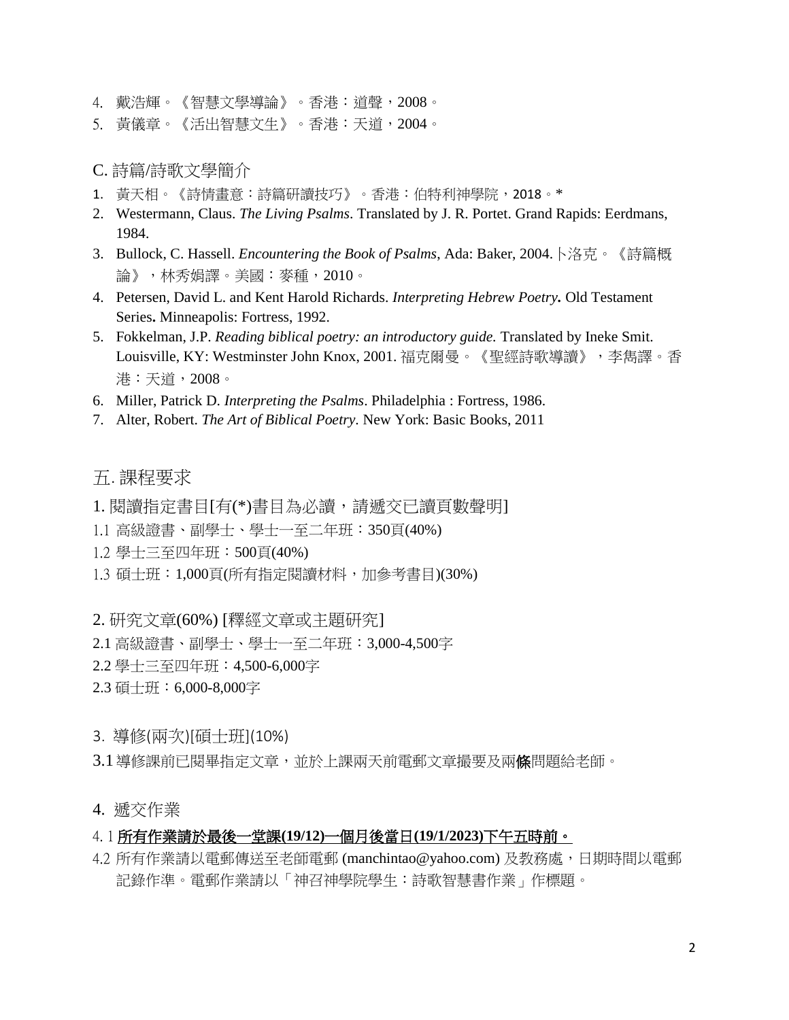- 4. 戴浩輝。《智慧文學導論》。香港:道聲,2008。
- 5. 黃儀章。《活出智慧文生》。香港:天道,2004。
- C. 詩篇/詩歌文學簡介
- 1. 黃天相。《詩情畫意:詩篇研讀技巧》。香港:伯特利神學院,2018。\*
- 2. Westermann, Claus. *The Living Psalms*. Translated by J. R. Portet. Grand Rapids: Eerdmans, 1984.
- 3. Bullock, C. Hassell. *Encountering the Book of Psalms*, Ada: Baker, 2004.卜洛克。《詩篇概 論》,林秀娟譯。美國:麥種,2010。
- 4. Petersen, David L. and Kent Harold Richards. *Interpreting Hebrew Poetry.* Old Testament Series**.** Minneapolis: Fortress, 1992.
- 5. Fokkelman, J.P. *Reading biblical poetry: an introductory guide.* Translated by Ineke Smit. Louisville, KY: Westminster John Knox, 2001. 福克爾曼。《聖經詩歌導讀》[,李雋譯](https://www.logos.com.hk/bf/acms/content.asp?site=logosbf&op=search&type=product&match=exact&field=translator&text=%E6%9D%8E%E9%9B%8B)。香 港:天道,2008。
- 6. Miller, Patrick D. *Interpreting the Psalms*. Philadelphia : Fortress, 1986.
- 7. Alter, Robert. *The Art of Biblical Poetry.* New York: Basic Books, 2011

## 五. 課程要求

- 1. 閱讀指定書目[有(\*)書目為必讀,請遞交已讀頁數聲明]
- 1.1 高級證書、副學士、學士一至二年班:350頁(40%)
- 1.2 學士三至四年班:500頁(40%)
- 1.3 碩士班:1,000頁(所有指定閱讀材料,加參考書目)(30%)
- 2. 研究文章(60%) [釋經文章或主題研究]
- 2.1 高級證書、副學士、學士一至二年班:3,000-4,500字
- 2.2 學士三至四年班:4,500-6,000字
- 2.3 碩士班:6,000-8,000字
- 3. 導修(兩次)[碩士班](10%)
- 3.1 導修課前已閱畢指定文章,並於上課兩天前電郵文章撮要及兩條問題給老師。
- 4. 遞交作業

## 4. 1 所有作業請於最後一堂課**(19/12)**一個月後當日**(19/1/2023)**下午五時前。

4.2 所有作業請以電郵傳送至老師電郵 (manchintao@yahoo.com) 及教務處,日期時間以電郵 記錄作準。電郵作業請以「神召神學院學生:詩歌智慧書作業」作標題。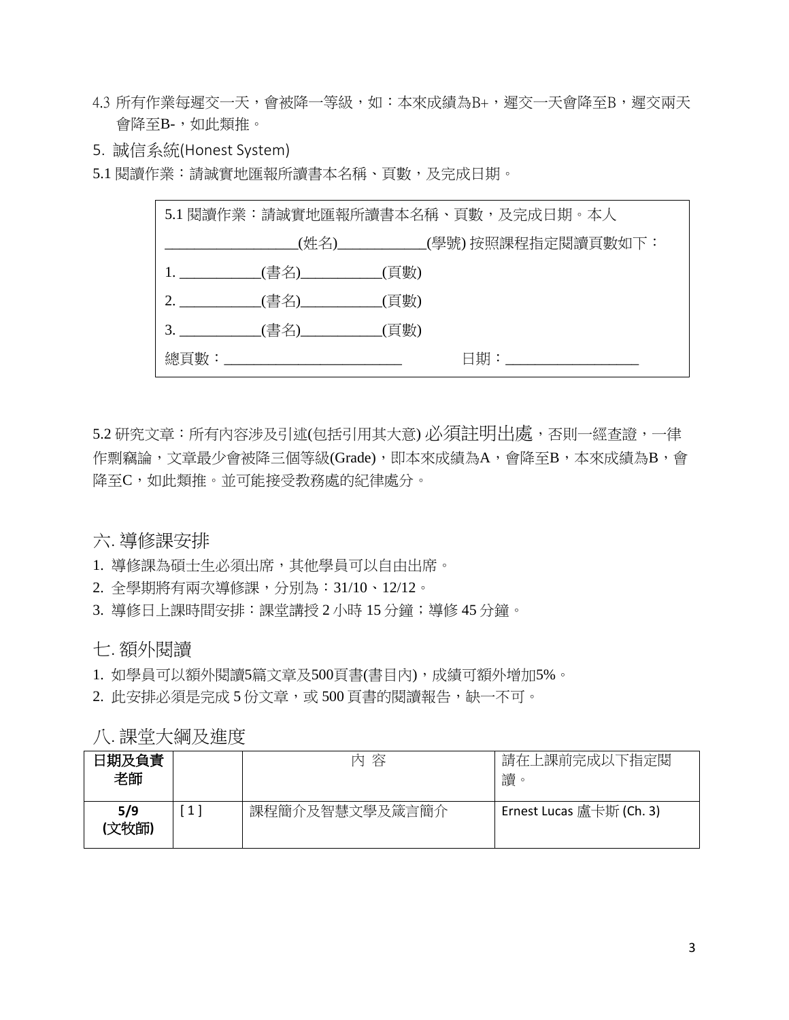- 4.3 所有作業每遲交一天,會被降一等級,如:本來成績為B+,遲交一天會降至B,遲交兩天 會降至B-,如此類推。
- 5. 誠信系統(Honest System)

5.1 閱讀作業:請誠實地匯報所讀書本名稱、頁數,及完成日期。

| 5.1 閱讀作業:請誠實地匯報所讀書本名稱、頁數,及完成日期。本人 |                                      |  |                                                           |  |  |
|-----------------------------------|--------------------------------------|--|-----------------------------------------------------------|--|--|
|                                   |                                      |  | ______________________(姓名)_____________(學號) 按照課程指定閱讀頁數如下: |  |  |
|                                   | 1. _____________(書名)____________(頁數) |  |                                                           |  |  |
|                                   | 2.      (書名)      (頁數)               |  |                                                           |  |  |
|                                   |                                      |  |                                                           |  |  |
|                                   |                                      |  | $\boxdot$ 期: with the control of $\Box$                   |  |  |

5.2 研究文章:所有內容涉及引述(包括引用其大意) 必須註明出處,否則一經查證,一律 作剽竊論,文章最少會被降三個等級(Grade),即本來成績為A,會降至B,本來成績為B,會 降至C,如此類推。並可能接受教務處的紀律處分。

六. 導修課安排

- 1. 導修課為碩士生必須出席,其他學員可以自由出席。
- 2. 全學期將有兩次導修課,分別為:31/10、12/12。
- 3. 導修日上課時間安排:課堂講授 2 小時 15 分鐘;導修 45 分鐘。

七. 額外閱讀

1. 如學員可以額外閱讀5篇文章及500頁書(書目內),成績可額外增加5%。

2. 此安排必須是完成 5 份文章,或 500 頁書的閱讀報告,缺一不可。

八. 課堂大綱及進度

| 日期及負責<br>老師 |   | 容<br>内         | 請在上課前完成以下指定閱<br>讀<br>$\circ$ |
|-------------|---|----------------|------------------------------|
| 5/9<br>文牧師) | 1 | 課程簡介及智慧文學及箴言簡介 | Ernest Lucas 盧卡斯 (Ch. 3)     |